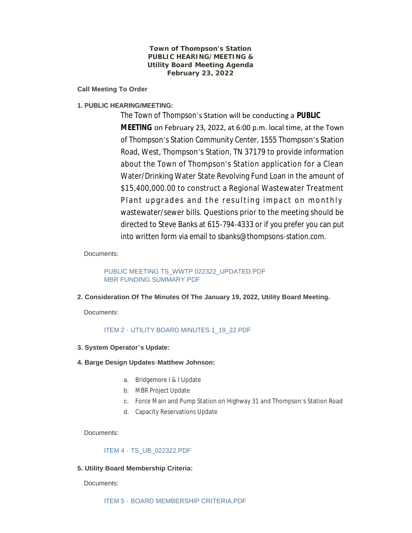**Town of Thompson's Station PUBLIC HEARING/MEETING & Utility Board Meeting Agenda February 23, 2022**

**Call Meeting To Order**

## **1. PUBLIC HEARING/MEETING:**

The Town of Thompson's Station will be conducting a **PUBLIC MEETING** on February 23, 2022, at 6:00 p.m. local time, at the Town of Thompson's Station Community Center, 1555 Thompson's Station Road, West, Thompson's Station, TN 37179 to provide information about the Town of Thompson's Station application for a Clean Water/Drinking Water State Revolving Fund Loan in the amount of \$15,400,000.00 to construct a Regional Wastewater Treatment Plant upgrades and the resulting impact on monthly wastewater/sewer bills. Questions prior to the meeting should be directed to Steve Banks at 615-794-4333 or if you prefer you can put into written form via email to sbanks@thompsons-station.com.

Documents:

[PUBLIC MEETING TS\\_WWTP 022322\\_UPDATED.PDF](https://www.thompsons-station.com/AgendaCenter/ViewFile/Item/3662?fileID=15226) [MBR FUNDING SUMMARY.PDF](https://www.thompsons-station.com/AgendaCenter/ViewFile/Item/3662?fileID=15227)

### **2. Consideration Of The Minutes Of The January 19, 2022, Utility Board Meeting.**

Documents:

### ITEM 2 - [UTILITY BOARD MINUTES 1\\_19\\_22.PDF](https://www.thompsons-station.com/AgendaCenter/ViewFile/Item/3663?fileID=15223)

- **3. System Operator's Update:**
- **4. Barge Design Updates-Matthew Johnson:**
	- a. Bridgemore I & I Update
	- b. MBR Project Update
	- c. Force Main and Pump Station on Highway 31 and Thompson's Station Road
	- d. Capacity Reservations Update

Documents:

### ITEM 4 - [TS\\_UB\\_022322.PDF](https://www.thompsons-station.com/AgendaCenter/ViewFile/Item/3665?fileID=15224)

### **5. Utility Board Membership Criteria:**

Documents:

ITEM 5 - [BOARD MEMBERSHIP CRITERIA.PDF](https://www.thompsons-station.com/AgendaCenter/ViewFile/Item/3666?fileID=15225)